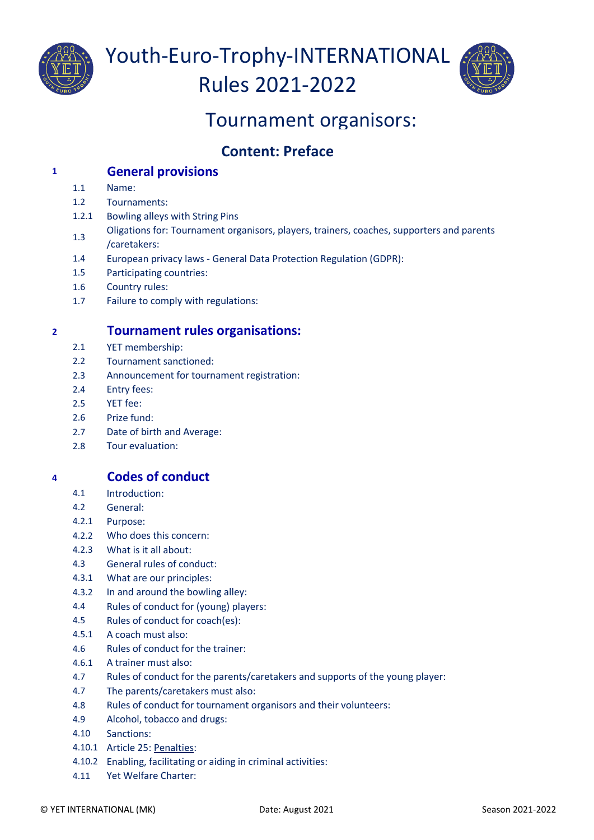

Youth-Euro-Trophy-INTERNATIONAL Rules 2021-2022



# Tournament organisors:

# **Content: Preface**

## **<sup>1</sup> General provisions**

- 1.1 Name:
- 1.2 Tournaments:
- 1.2.1 Bowling alleys with String Pins
- 1.3 Oligations for: Tournament organisors, players, trainers, coaches, supporters and parents /caretakers:
- 1.4 European privacy laws General Data Protection Regulation (GDPR):
- 1.5 Participating countries:
- 1.6 Country rules:
- 1.7 Failure to comply with regulations:

# **<sup>2</sup> Tournament rules organisations:**

- 2.1 YET membership:
- 2.2 Tournament sanctioned:
- 2.3 Announcement for tournament registration:
- 2.4 Entry fees:
- 2.5 YET fee:
- 2.6 Prize fund:
- 2.7 Date of birth and Average:
- 2.8 Tour evaluation:

# **<sup>4</sup> Codes of conduct**

- 4.1 Introduction:
- 4.2 General:
- 4.2.1 Purpose:
- 4.2.2 Who does this concern:
- 4.2.3 What is it all about:
- 4.3 General rules of conduct:
- 4.3.1 What are our principles:
- 4.3.2 In and around the bowling alley:
- 4.4 Rules of conduct for (young) players:
- 4.5 Rules of conduct for coach(es):
- 4.5.1 A coach must also:
- 4.6 Rules of conduct for the trainer:
- 4.6.1 A trainer must also:
- 4.7 Rules of conduct for the parents/caretakers and supports of the young player:
- 4.7 The parents/caretakers must also:
- 4.8 Rules of conduct for tournament organisors and their volunteers:
- 4.9 Alcohol, tobacco and drugs:
- 4.10 Sanctions:
- 4.10.1 Article 25: Penalties:
- 4.10.2 Enabling, facilitating or aiding in criminal activities:
- 4.11 Yet Welfare Charter: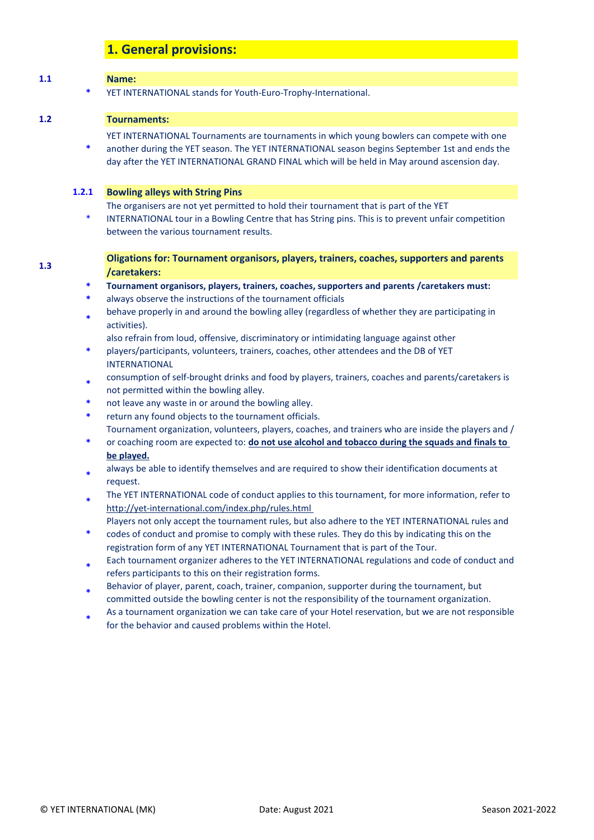## **1. General provisions:**

# **1.1 Name: \*** YET INTERNATIONAL stands for Youth-Euro-Trophy-International.

### **1.2 Tournaments:**

**1.3**

YET INTERNATIONAL Tournaments are tournaments in which young bowlers can compete with one

**\*** another during the YET season. The YET INTERNATIONAL season begins September 1st and ends the day after the YET INTERNATIONAL GRAND FINAL which will be held in May around ascension day.

#### **1.2.1 Bowling alleys with String Pins**

- The organisers are not yet permitted to hold their tournament that is part of the YET
- \* INTERNATIONAL tour in a Bowling Centre that has String pins. This is to prevent unfair competition between the various tournament results.

#### **Oligations for: Tournament organisors, players, trainers, coaches, supporters and parents /caretakers:**

- **\* Tournament organisors, players, trainers, coaches, supporters and parents /caretakers must:**
- **\*** always observe the instructions of the tournament officials
- **\*** behave properly in and around the bowling alley (regardless of whether they are participating in activities).
	- also refrain from loud, offensive, discriminatory or intimidating language against other
- **\*** players/participants, volunteers, trainers, coaches, other attendees and the DB of YET INTERNATIONAL
- **\*** consumption of self-brought drinks and food by players, trainers, coaches and parents/caretakers is not permitted within the bowling alley.
- **\*** not leave any waste in or around the bowling alley.
- **\*** return any found objects to the tournament officials. Tournament organization, volunteers, players, coaches, and trainers who are inside the players and /
- **\*** or coaching room are expected to: **do not use alcohol and tobacco during the squads and finals to be played.**
- **\*** always be able to identify themselves and are required to show their identification documents at request.
- **\*** [The YET INTERNATIONAL code of conduct applies to this tournament, for more information, refer to](http://yet-international.com/index.php/rules.html)  <http://yet-international.com/index.php/rules.html>
- Players not only accept the tournament rules, but also adhere to the YET INTERNATIONAL rules and
- **\*** codes of conduct and promise to comply with these rules. They do this by indicating this on the registration form of any YET INTERNATIONAL Tournament that is part of the Tour.
- **\*** Each tournament organizer adheres to the YET INTERNATIONAL regulations and code of conduct and refers participants to this on their registration forms.
- **\*** Behavior of player, parent, coach, trainer, companion, supporter during the tournament, but committed outside the bowling center is not the responsibility of the tournament organization.
- **\*** As a tournament organization we can take care of your Hotel reservation, but we are not responsible for the behavior and caused problems within the Hotel.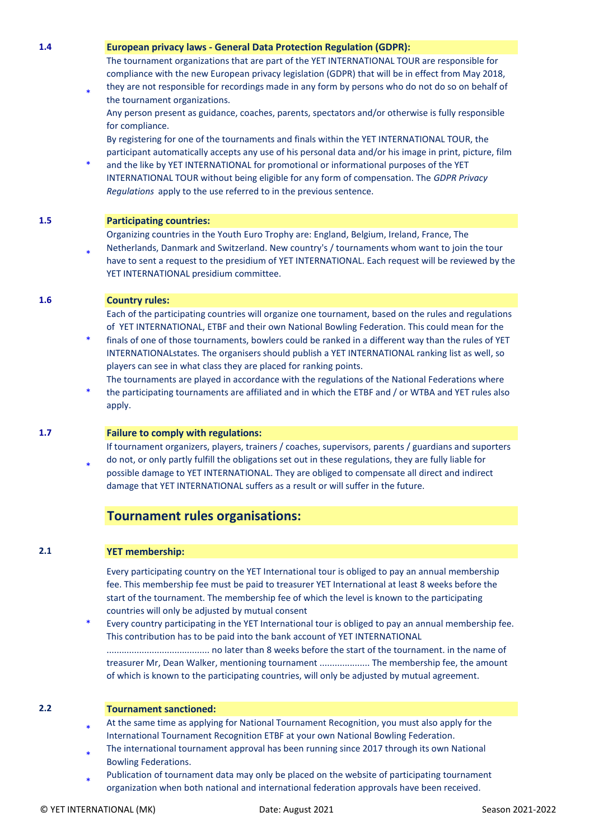#### **1.4 European privacy laws - General Data Protection Regulation (GDPR):**

The tournament organizations that are part of the YET INTERNATIONAL TOUR are responsible for compliance with the new European privacy legislation (GDPR) that will be in effect from May 2018,

\* they are not responsible for recordings made in any form by persons who do not do so on behalf of the tournament organizations. Any person present as guidance, coaches, parents, spectators and/or otherwise is fully responsible

for compliance. By registering for one of the tournaments and finals within the YET INTERNATIONAL TOUR, the

\* participant automatically accepts any use of his personal data and/or his image in print, picture, film and the like by YET INTERNATIONAL for promotional or informational purposes of the YET INTERNATIONAL TOUR without being eligible for any form of compensation. The *GDPR Privacy Regulations* apply to the use referred to in the previous sentence.

#### **1.5 Participating countries:**

Organizing countries in the Youth Euro Trophy are: England, Belgium, Ireland, France, The

\* Netherlands, Danmark and Switzerland. New country's / tournaments whom want to join the tour have to sent a request to the presidium of YET INTERNATIONAL. Each request will be reviewed by the YET INTERNATIONAL presidium committee.

**1.6 Country rules:** 

Each of the participating countries will organize one tournament, based on the rules and regulations of YET INTERNATIONAL, ETBF and their own National Bowling Federation. This could mean for the

- \* finals of one of those tournaments, bowlers could be ranked in a different way than the rules of YET INTERNATIONALstates. The organisers should publish a YET INTERNATIONAL ranking list as well, so players can see in what class they are placed for ranking points. The tournaments are played in accordance with the regulations of the National Federations where
- \* the participating tournaments are affiliated and in which the ETBF and / or WTBA and YET rules also apply.

### **1.7 Failure to comply with regulations:**

If tournament organizers, players, trainers / coaches, supervisors, parents / guardians and suporters

\* do not, or only partly fulfill the obligations set out in these regulations, they are fully liable for possible damage to YET INTERNATIONAL. They are obliged to compensate all direct and indirect damage that YET INTERNATIONAL suffers as a result or will suffer in the future.

# **Tournament rules organisations:**

#### **2.1 YET membership:**

Every participating country on the YET International tour is obliged to pay an annual membership fee. This membership fee must be paid to treasurer YET International at least 8 weeks before the start of the tournament. The membership fee of which the level is known to the participating countries will only be adjusted by mutual consent

\* Every country participating in the YET International tour is obliged to pay an annual membership fee. This contribution has to be paid into the bank account of YET INTERNATIONAL ......................................... no later than 8 weeks before the start of the tournament. in the name of treasurer Mr, Dean Walker, mentioning tournament .................... The membership fee, the amount of which is known to the participating countries, will only be adjusted by mutual agreement.

#### **2.2 Tournament sanctioned:**

- \* At the same time as applying for National Tournament Recognition, you must also apply for the International Tournament Recognition ETBF at your own National Bowling Federation.
- \* The international tournament approval has been running since 2017 through its own National Bowling Federations.
- \* Publication of tournament data may only be placed on the website of participating tournament organization when both national and international federation approvals have been received.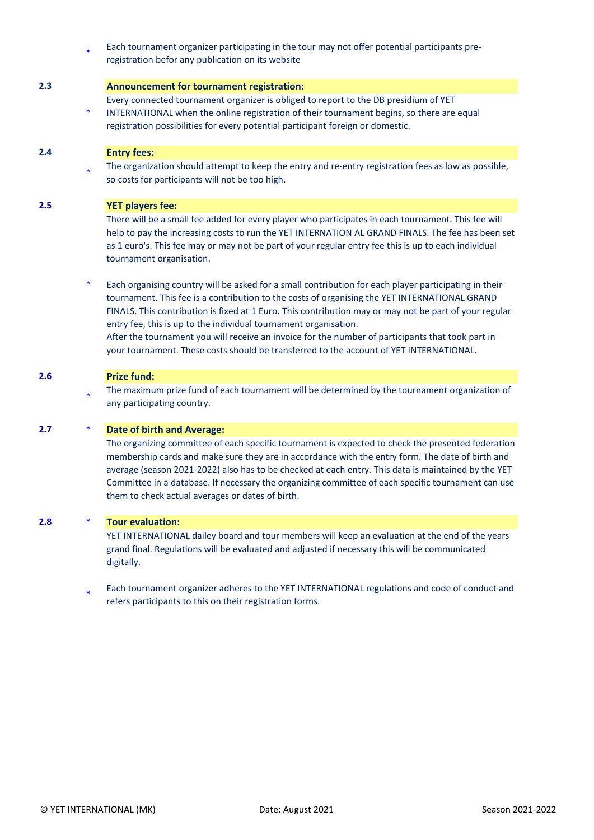\* Each tournament organizer participating in the tour may not offer potential participants preregistration befor any publication on its website

#### **2.3 Announcement for tournament registration:**

Every connected tournament organizer is obliged to report to the DB presidium of YET

\* INTERNATIONAL when the online registration of their tournament begins, so there are equal registration possibilities for every potential participant foreign or domestic.

#### **2.4 Entry fees:**

\* The organization should attempt to keep the entry and re-entry registration fees as low as possible, so costs for participants will not be too high.

#### **2.5 YET players fee:**

There will be a small fee added for every player who participates in each tournament. This fee will help to pay the increasing costs to run the YET INTERNATION AL GRAND FINALS. The fee has been set as 1 euro's. This fee may or may not be part of your regular entry fee this is up to each individual tournament organisation.

\* Each organising country will be asked for a small contribution for each player participating in their tournament. This fee is a contribution to the costs of organising the YET INTERNATIONAL GRAND FINALS. This contribution is fixed at 1 Euro. This contribution may or may not be part of your regular entry fee, this is up to the individual tournament organisation. After the tournament you will receive an invoice for the number of participants that took part in your tournament. These costs should be transferred to the account of YET INTERNATIONAL.

#### **2.6 Prize fund:**

\* The maximum prize fund of each tournament will be determined by the tournament organization of any participating country.

#### **2.7** \* **Date of birth and Average:**

The organizing committee of each specific tournament is expected to check the presented federation membership cards and make sure they are in accordance with the entry form. The date of birth and average (season 2021-2022) also has to be checked at each entry. This data is maintained by the YET Committee in a database. If necessary the organizing committee of each specific tournament can use them to check actual averages or dates of birth.

#### **2.8** \* **Tour evaluation:**

YET INTERNATIONAL dailey board and tour members will keep an evaluation at the end of the years grand final. Regulations will be evaluated and adjusted if necessary this will be communicated digitally.

\* Each tournament organizer adheres to the YET INTERNATIONAL regulations and code of conduct and refers participants to this on their registration forms.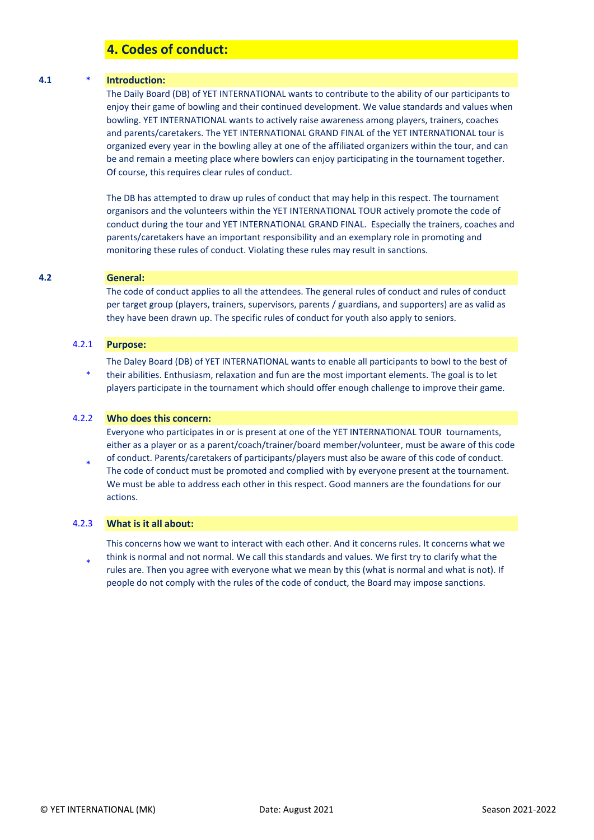## **4. Codes of conduct:**

#### **4.1** \* **Introduction:**

The Daily Board (DB) of YET INTERNATIONAL wants to contribute to the ability of our participants to enjoy their game of bowling and their continued development. We value standards and values when bowling. YET INTERNATIONAL wants to actively raise awareness among players, trainers, coaches and parents/caretakers. The YET INTERNATIONAL GRAND FINAL of the YET INTERNATIONAL tour is organized every year in the bowling alley at one of the affiliated organizers within the tour, and can be and remain a meeting place where bowlers can enjoy participating in the tournament together. Of course, this requires clear rules of conduct.

The DB has attempted to draw up rules of conduct that may help in this respect. The tournament organisors and the volunteers within the YET INTERNATIONAL TOUR actively promote the code of conduct during the tour and YET INTERNATIONAL GRAND FINAL. Especially the trainers, coaches and parents/caretakers have an important responsibility and an exemplary role in promoting and monitoring these rules of conduct. Violating these rules may result in sanctions.

#### **4.2 General:**

The code of conduct applies to all the attendees. The general rules of conduct and rules of conduct per target group (players, trainers, supervisors, parents / guardians, and supporters) are as valid as they have been drawn up. The specific rules of conduct for youth also apply to seniors.

#### 4.2.1 **Purpose:**

\* The Daley Board (DB) of YET INTERNATIONAL wants to enable all participants to bowl to the best of their abilities. Enthusiasm, relaxation and fun are the most important elements. The goal is to let players participate in the tournament which should offer enough challenge to improve their game.

#### 4.2.2 **Who does this concern:**

Everyone who participates in or is present at one of the YET INTERNATIONAL TOUR tournaments, either as a player or as a parent/coach/trainer/board member/volunteer, must be aware of this code

\* of conduct. Parents/caretakers of participants/players must also be aware of this code of conduct. The code of conduct must be promoted and complied with by everyone present at the tournament. We must be able to address each other in this respect. Good manners are the foundations for our actions.

#### 4.2.3 **What is it all about:**

\* This concerns how we want to interact with each other. And it concerns rules. It concerns what we think is normal and not normal. We call this standards and values. We first try to clarify what the rules are. Then you agree with everyone what we mean by this (what is normal and what is not). If people do not comply with the rules of the code of conduct, the Board may impose sanctions.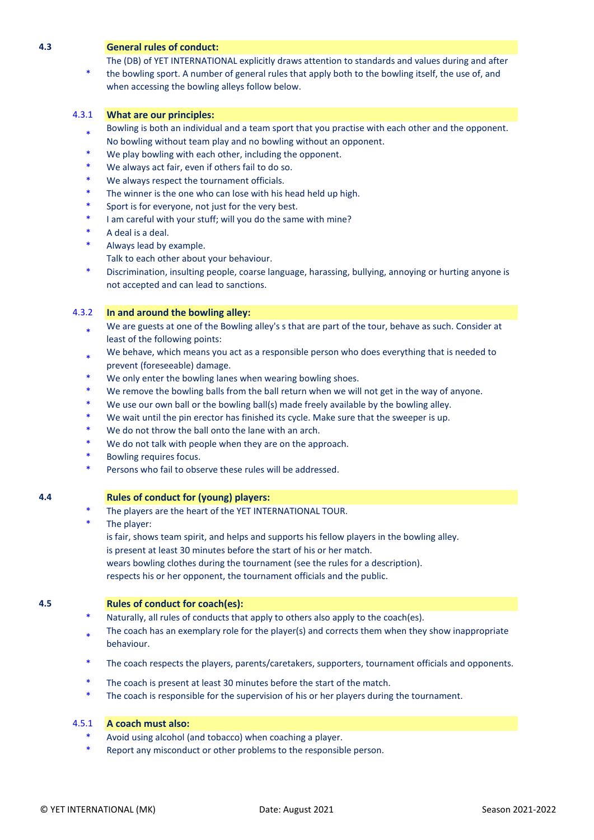#### **4.3 General rules of conduct:**

The (DB) of YET INTERNATIONAL explicitly draws attention to standards and values during and after

\* the bowling sport. A number of general rules that apply both to the bowling itself, the use of, and when accessing the bowling alleys follow below.

#### 4.3.1 **What are our principles:**

- \* Bowling is both an individual and a team sport that you practise with each other and the opponent. No bowling without team play and no bowling without an opponent.
- We play bowling with each other, including the opponent.
- We always act fair, even if others fail to do so.
- We always respect the tournament officials.
- The winner is the one who can lose with his head held up high.
- Sport is for everyone, not just for the very best.
- I am careful with your stuff; will you do the same with mine?
- A deal is a deal.
- Always lead by example.
	- Talk to each other about your behaviour.
- \* Discrimination, insulting people, coarse language, harassing, bullying, annoying or hurting anyone is not accepted and can lead to sanctions.

#### 4.3.2 **In and around the bowling alley:**

- \* We are guests at one of the Bowling alley's s that are part of the tour, behave as such. Consider at least of the following points:
- \* We behave, which means you act as a responsible person who does everything that is needed to prevent (foreseeable) damage.
- We only enter the bowling lanes when wearing bowling shoes.
- We remove the bowling balls from the ball return when we will not get in the way of anyone.
- We use our own ball or the bowling ball(s) made freely available by the bowling alley.
- We wait until the pin erector has finished its cycle. Make sure that the sweeper is up.
- We do not throw the ball onto the lane with an arch.
- We do not talk with people when they are on the approach.
- Bowling requires focus.
- Persons who fail to observe these rules will be addressed.

#### **4.4 Rules of conduct for (young) players:**

- The players are the heart of the YET INTERNATIONAL TOUR.
- The player:
	- is fair, shows team spirit, and helps and supports his fellow players in the bowling alley.
	- is present at least 30 minutes before the start of his or her match.
	- wears bowling clothes during the tournament (see the rules for a description).

respects his or her opponent, the tournament officials and the public.

#### **4.5 Rules of conduct for coach(es):**

- Naturally, all rules of conducts that apply to others also apply to the coach(es).
- \* The coach has an exemplary role for the player(s) and corrects them when they show inappropriate behaviour.
- \* The coach respects the players, parents/caretakers, supporters, tournament officials and opponents.
- The coach is present at least 30 minutes before the start of the match.
- The coach is responsible for the supervision of his or her players during the tournament.

#### 4.5.1 **A coach must also:**

- Avoid using alcohol (and tobacco) when coaching a player.
- Report any misconduct or other problems to the responsible person.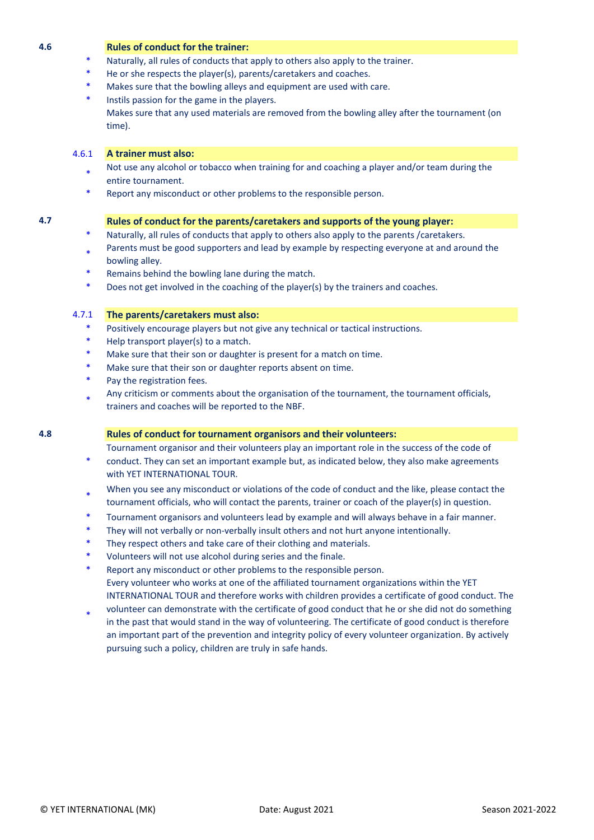#### **4.6 Rules of conduct for the trainer:**

- Naturally, all rules of conducts that apply to others also apply to the trainer.
- He or she respects the player(s), parents/caretakers and coaches.
- Makes sure that the bowling alleys and equipment are used with care.
- Instils passion for the game in the players. Makes sure that any used materials are removed from the bowling alley after the tournament (on time).

#### 4.6.1 **A trainer must also:**

- \* Not use any alcohol or tobacco when training for and coaching a player and/or team during the entire tournament.
- Report any misconduct or other problems to the responsible person.

#### **4.7 Rules of conduct for the parents/caretakers and supports of the young player:**

- Naturally, all rules of conducts that apply to others also apply to the parents /caretakers.
- \* Parents must be good supporters and lead by example by respecting everyone at and around the bowling alley.
- Remains behind the bowling lane during the match.
- Does not get involved in the coaching of the player(s) by the trainers and coaches.

#### 4.7.1 **The parents/caretakers must also:**

- Positively encourage players but not give any technical or tactical instructions.
- Help transport player(s) to a match.
- Make sure that their son or daughter is present for a match on time.
- Make sure that their son or daughter reports absent on time.
- Pay the registration fees.
- \* Any criticism or comments about the organisation of the tournament, the tournament officials, trainers and coaches will be reported to the NBF.

#### **4.8 Rules of conduct for tournament organisors and their volunteers:**

Tournament organisor and their volunteers play an important role in the success of the code of

- \* conduct. They can set an important example but, as indicated below, they also make agreements with YET INTERNATIONAL TOUR.
- \* When you see any misconduct or violations of the code of conduct and the like, please contact the tournament officials, who will contact the parents, trainer or coach of the player(s) in question.
- Tournament organisors and volunteers lead by example and will always behave in a fair manner.
- They will not verbally or non-verbally insult others and not hurt anyone intentionally.
- They respect others and take care of their clothing and materials.
- Volunteers will not use alcohol during series and the finale.
- Report any misconduct or other problems to the responsible person. Every volunteer who works at one of the affiliated tournament organizations within the YET INTERNATIONAL TOUR and therefore works with children provides a certificate of good conduct. The
- \* volunteer can demonstrate with the certificate of good conduct that he or she did not do something in the past that would stand in the way of volunteering. The certificate of good conduct is therefore an important part of the prevention and integrity policy of every volunteer organization. By actively pursuing such a policy, children are truly in safe hands.